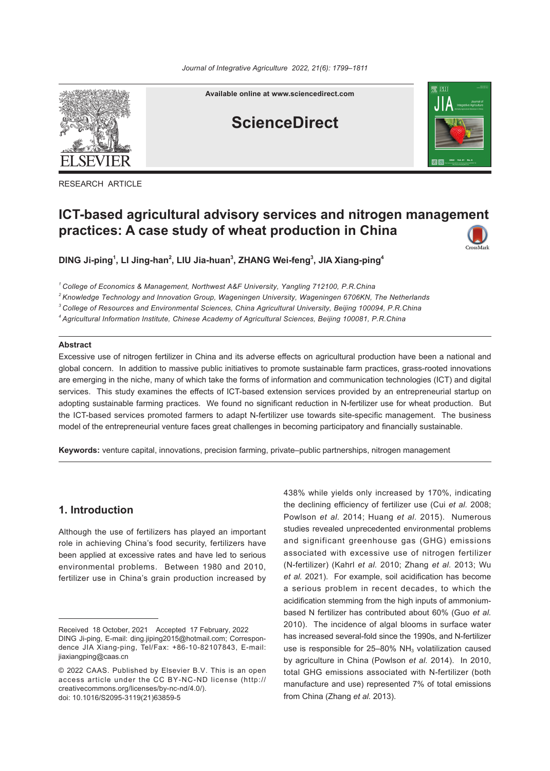

**Available online at www.sciencedirect.com**

## **ScienceDirect**



RESEARCH ARTICLE

# **ICT-based agricultural advisory services and nitrogen management practices: A case study of wheat production in China**

**DING Ji-ping1 , LI Jing-han2 , LIU Jia-huan3 , ZHANG Wei-feng<sup>3</sup> , JIA Xiang-ping4**

*<sup>1</sup> College of Economics & Management, Northwest A&F University, Yangling 712100, P.R.China*

*<sup>2</sup> Knowledge Technology and Innovation Group, Wageningen University, Wageningen 6706KN, The Netherlands* 

*<sup>3</sup> College of Resources and Environmental Sciences, China Agricultural University, Beijing 100094, P.R.China* 

*<sup>4</sup> Agricultural Information Institute, Chinese Academy of Agricultural Sciences, Beijing 100081, P.R.China*

#### **Abstract**

Excessive use of nitrogen fertilizer in China and its adverse effects on agricultural production have been a national and global concern. In addition to massive public initiatives to promote sustainable farm practices, grass-rooted innovations are emerging in the niche, many of which take the forms of information and communication technologies (ICT) and digital services. This study examines the effects of ICT-based extension services provided by an entrepreneurial startup on adopting sustainable farming practices. We found no significant reduction in N-fertilizer use for wheat production. But the ICT-based services promoted farmers to adapt N-fertilizer use towards site-specific management. The business model of the entrepreneurial venture faces great challenges in becoming participatory and financially sustainable.

**Keywords:** venture capital, innovations, precision farming, private–public partnerships, nitrogen management

## **1. Introduction**

Although the use of fertilizers has played an important role in achieving China's food security, fertilizers have been applied at excessive rates and have led to serious environmental problems. Between 1980 and 2010, fertilizer use in China's grain production increased by 438% while yields only increased by 170%, indicating the declining efficiency of fertilizer use (Cui *et al.* 2008; Powlson *et al.* 2014; Huang *et al.* 2015). Numerous studies revealed unprecedented environmental problems and significant greenhouse gas (GHG) emissions associated with excessive use of nitrogen fertilizer (N-fertilizer) (Kahrl *et al.* 2010; Zhang *et al.* 2013; Wu *et al.* 2021). For example, soil acidification has become a serious problem in recent decades, to which the acidification stemming from the high inputs of ammoniumbased N fertilizer has contributed about 60% (Guo *et al.* 2010). The incidence of algal blooms in surface water has increased several-fold since the 1990s, and N-fertilizer use is responsible for 25-80%  $NH<sub>3</sub>$  volatilization caused by agriculture in China (Powlson *et al.* 2014). In 2010, total GHG emissions associated with N-fertilizer (both manufacture and use) represented 7% of total emissions from China (Zhang *et al.* 2013).

Received 18 October, 2021 Accepted 17 February, 2022 DING Ji-ping, E-mail: ding.jiping2015@hotmail.com; Correspondence JIA Xiang-ping, Tel/Fax: +86-10-82107843, E-mail: jiaxiangping@caas.cn

<sup>© 2022</sup> CAAS. Published by Elsevier B.V. This is an open access article under the CC BY-NC-ND license (http:// creativecommons.org/licenses/by-nc-nd/4.0/). doi: 10.1016/S2095-3119(21)63859-5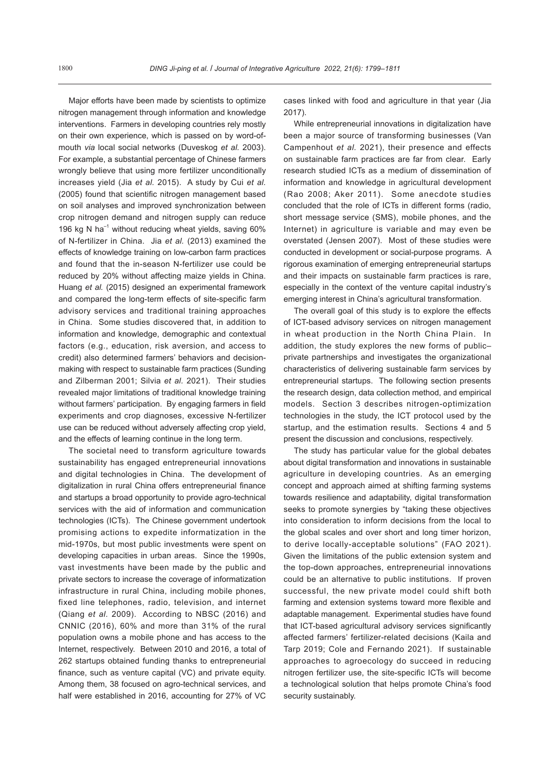Major efforts have been made by scientists to optimize nitrogen management through information and knowledge interventions. Farmers in developing countries rely mostly on their own experience, which is passed on by word-ofmouth *via* local social networks (Duveskog *et al.* 2003). For example, a substantial percentage of Chinese farmers wrongly believe that using more fertilizer unconditionally increases yield (Jia *et al.* 2015). A study by Cui *et al.* (2005) found that scientific nitrogen management based on soil analyses and improved synchronization between crop nitrogen demand and nitrogen supply can reduce 196 kg N ha<sup>-1</sup> without reducing wheat yields, saving  $60\%$ of N-fertilizer in China. Jia *et al.* (2013) examined the effects of knowledge training on low-carbon farm practices and found that the in-season N-fertilizer use could be reduced by 20% without affecting maize yields in China. Huang *et al.* (2015) designed an experimental framework and compared the long-term effects of site-specific farm advisory services and traditional training approaches in China. Some studies discovered that, in addition to information and knowledge, demographic and contextual factors (e.g., education, risk aversion, and access to credit) also determined farmers' behaviors and decisionmaking with respect to sustainable farm practices (Sunding and Zilberman 2001; Silvia *et al.* 2021). Their studies revealed major limitations of traditional knowledge training without farmers' participation. By engaging farmers in field experiments and crop diagnoses, excessive N-fertilizer use can be reduced without adversely affecting crop yield, and the effects of learning continue in the long term.

The societal need to transform agriculture towards sustainability has engaged entrepreneurial innovations and digital technologies in China. The development of digitalization in rural China offers entrepreneurial finance and startups a broad opportunity to provide agro-technical services with the aid of information and communication technologies (ICTs). The Chinese government undertook promising actions to expedite informatization in the mid-1970s, but most public investments were spent on developing capacities in urban areas. Since the 1990s, vast investments have been made by the public and private sectors to increase the coverage of informatization infrastructure in rural China, including mobile phones, fixed line telephones, radio, television, and internet (Qiang *et al.* 2009). According to NBSC (2016) and CNNIC (2016), 60% and more than 31% of the rural population owns a mobile phone and has access to the Internet, respectively. Between 2010 and 2016, a total of 262 startups obtained funding thanks to entrepreneurial finance, such as venture capital (VC) and private equity. Among them, 38 focused on agro-technical services, and half were established in 2016, accounting for 27% of VC

cases linked with food and agriculture in that year (Jia 2017).

While entrepreneurial innovations in digitalization have been a major source of transforming businesses (Van Campenhout *et al.* 2021), their presence and effects on sustainable farm practices are far from clear. Early research studied ICTs as a medium of dissemination of information and knowledge in agricultural development (Rao 2008; Aker 2011). Some anecdote studies concluded that the role of ICTs in different forms (radio, short message service (SMS), mobile phones, and the Internet) in agriculture is variable and may even be overstated (Jensen 2007). Most of these studies were conducted in development or social-purpose programs. A rigorous examination of emerging entrepreneurial startups and their impacts on sustainable farm practices is rare, especially in the context of the venture capital industry's emerging interest in China's agricultural transformation.

The overall goal of this study is to explore the effects of ICT-based advisory services on nitrogen management in wheat production in the North China Plain. In addition, the study explores the new forms of public– private partnerships and investigates the organizational characteristics of delivering sustainable farm services by entrepreneurial startups. The following section presents the research design, data collection method, and empirical models. Section 3 describes nitrogen-optimization technologies in the study, the ICT protocol used by the startup, and the estimation results. Sections 4 and 5 present the discussion and conclusions, respectively.

The study has particular value for the global debates about digital transformation and innovations in sustainable agriculture in developing countries. As an emerging concept and approach aimed at shifting farming systems towards resilience and adaptability, digital transformation seeks to promote synergies by "taking these objectives into consideration to inform decisions from the local to the global scales and over short and long timer horizon, to derive locally-acceptable solutions" (FAO 2021). Given the limitations of the public extension system and the top-down approaches, entrepreneurial innovations could be an alternative to public institutions. If proven successful, the new private model could shift both farming and extension systems toward more flexible and adaptable management. Experimental studies have found that ICT-based agricultural advisory services significantly affected farmers' fertilizer-related decisions (Kaila and Tarp 2019; Cole and Fernando 2021). If sustainable approaches to agroecology do succeed in reducing nitrogen fertilizer use, the site-specific ICTs will become a technological solution that helps promote China's food security sustainably.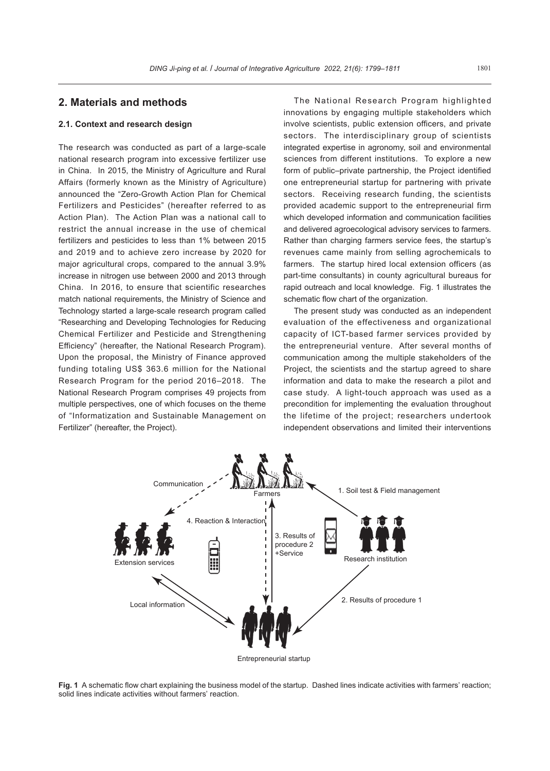## **2. Materials and methods**

### **2.1. Context and research design**

The research was conducted as part of a large-scale national research program into excessive fertilizer use in China. In 2015, the Ministry of Agriculture and Rural Affairs (formerly known as the Ministry of Agriculture) announced the "Zero-Growth Action Plan for Chemical Fertilizers and Pesticides" (hereafter referred to as Action Plan). The Action Plan was a national call to restrict the annual increase in the use of chemical fertilizers and pesticides to less than 1% between 2015 and 2019 and to achieve zero increase by 2020 for major agricultural crops, compared to the annual 3.9% increase in nitrogen use between 2000 and 2013 through China. In 2016, to ensure that scientific researches match national requirements, the Ministry of Science and Technology started a large-scale research program called "Researching and Developing Technologies for Reducing Chemical Fertilizer and Pesticide and Strengthening Efficiency" (hereafter, the National Research Program). Upon the proposal, the Ministry of Finance approved funding totaling US\$ 363.6 million for the National Research Program for the period 2016–2018. The National Research Program comprises 49 projects from multiple perspectives, one of which focuses on the theme of "Informatization and Sustainable Management on Fertilizer" (hereafter, the Project).

The National Research Program highlighted innovations by engaging multiple stakeholders which involve scientists, public extension officers, and private sectors. The interdisciplinary group of scientists integrated expertise in agronomy, soil and environmental sciences from different institutions. To explore a new form of public–private partnership, the Project identified one entrepreneurial startup for partnering with private sectors. Receiving research funding, the scientists provided academic support to the entrepreneurial firm which developed information and communication facilities and delivered agroecological advisory services to farmers. Rather than charging farmers service fees, the startup's revenues came mainly from selling agrochemicals to farmers. The startup hired local extension officers (as part-time consultants) in county agricultural bureaus for rapid outreach and local knowledge. Fig. 1 illustrates the schematic flow chart of the organization.

The present study was conducted as an independent evaluation of the effectiveness and organizational capacity of ICT-based farmer services provided by the entrepreneurial venture. After several months of communication among the multiple stakeholders of the Project, the scientists and the startup agreed to share information and data to make the research a pilot and case study. A light-touch approach was used as a precondition for implementing the evaluation throughout the lifetime of the project; researchers undertook independent observations and limited their interventions



Entrepreneurial startup

**Fig. 1** A schematic flow chart explaining the business model of the startup. Dashed lines indicate activities with farmers' reaction; solid lines indicate activities without farmers' reaction.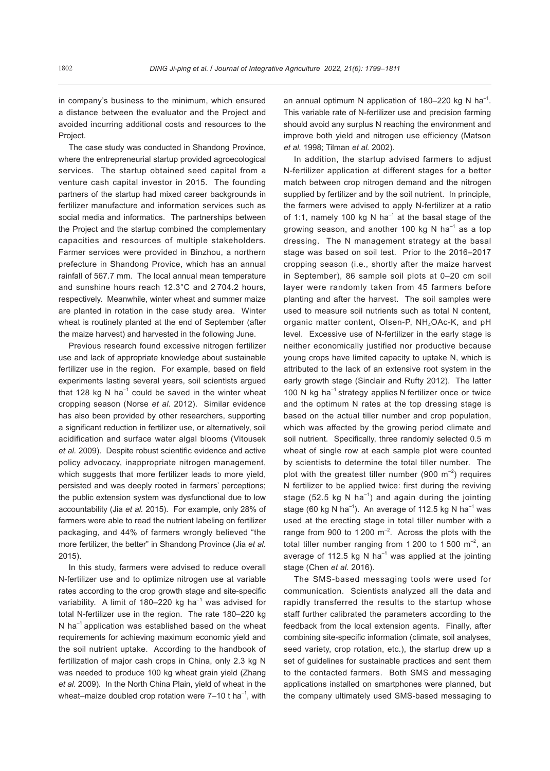in company's business to the minimum, which ensured a distance between the evaluator and the Project and avoided incurring additional costs and resources to the Project.

The case study was conducted in Shandong Province, where the entrepreneurial startup provided agroecological services. The startup obtained seed capital from a venture cash capital investor in 2015. The founding partners of the startup had mixed career backgrounds in fertilizer manufacture and information services such as social media and informatics. The partnerships between the Project and the startup combined the complementary capacities and resources of multiple stakeholders. Farmer services were provided in Binzhou, a northern prefecture in Shandong Provice, which has an annual rainfall of 567.7 mm. The local annual mean temperature and sunshine hours reach 12.3°C and 2 704.2 hours, respectively. Meanwhile, winter wheat and summer maize are planted in rotation in the case study area. Winter wheat is routinely planted at the end of September (after the maize harvest) and harvested in the following June.

Previous research found excessive nitrogen fertilizer use and lack of appropriate knowledge about sustainable fertilizer use in the region. For example, based on field experiments lasting several years, soil scientists argued that 128 kg N ha<sup>-1</sup> could be saved in the winter wheat cropping season (Norse *et al.* 2012). Similar evidence has also been provided by other researchers, supporting a significant reduction in fertilizer use, or alternatively, soil acidification and surface water algal blooms (Vitousek *et al.* 2009). Despite robust scientific evidence and active policy advocacy, inappropriate nitrogen management, which suggests that more fertilizer leads to more yield, persisted and was deeply rooted in farmers' perceptions; the public extension system was dysfunctional due to low accountability (Jia *et al.* 2015). For example, only 28% of farmers were able to read the nutrient labeling on fertilizer packaging, and 44% of farmers wrongly believed "the more fertilizer, the better" in Shandong Province (Jia *et al.* 2015).

In this study, farmers were advised to reduce overall N-fertilizer use and to optimize nitrogen use at variable rates according to the crop growth stage and site-specific variability. A limit of 180–220 kg ha $^{-1}$  was advised for total N-fertilizer use in the region. The rate 180–220 kg N ha<sup>-1</sup> application was established based on the wheat requirements for achieving maximum economic yield and the soil nutrient uptake. According to the handbook of fertilization of major cash crops in China, only 2.3 kg N was needed to produce 100 kg wheat grain yield (Zhang *et al.* 2009). In the North China Plain, yield of wheat in the wheat–maize doubled crop rotation were  $7-10$  t ha<sup>-1</sup>, with

an annual optimum N application of 180–220 kg N ha<sup>-1</sup>. This variable rate of N-fertilizer use and precision farming should avoid any surplus N reaching the environment and improve both yield and nitrogen use efficiency (Matson *et al.* 1998; Tilman *et al.* 2002).

In addition, the startup advised farmers to adjust N-fertilizer application at different stages for a better match between crop nitrogen demand and the nitrogen supplied by fertilizer and by the soil nutrient. In principle, the farmers were advised to apply N-fertilizer at a ratio of 1:1, namely 100 kg N ha<sup>-1</sup> at the basal stage of the growing season, and another 100 kg N ha<sup>-1</sup> as a top dressing. The N management strategy at the basal stage was based on soil test. Prior to the 2016–2017 cropping season (i.e., shortly after the maize harvest in September), 86 sample soil plots at 0–20 cm soil layer were randomly taken from 45 farmers before planting and after the harvest. The soil samples were used to measure soil nutrients such as total N content, organic matter content, Olsen-P, NH<sub>4</sub>OAc-K, and pH level. Excessive use of N-fertilizer in the early stage is neither economically justified nor productive because young crops have limited capacity to uptake N, which is attributed to the lack of an extensive root system in the early growth stage (Sinclair and Rufty 2012). The latter 100 N kg ha<sup>-1</sup> strategy applies N fertilizer once or twice and the optimum N rates at the top dressing stage is based on the actual tiller number and crop population, which was affected by the growing period climate and soil nutrient. Specifically, three randomly selected 0.5 m wheat of single row at each sample plot were counted by scientists to determine the total tiller number. The plot with the greatest tiller number (900  $\mathrm{m}^{-2}$ ) requires N fertilizer to be applied twice: first during the reviving stage (52.5 kg N ha<sup>-1</sup>) and again during the jointing stage (60 kg N ha<sup>-1</sup>). An average of 112.5 kg N ha<sup>-1</sup> was used at the erecting stage in total tiller number with a range from 900 to 1 200  $m^{-2}$ . Across the plots with the total tiller number ranging from 1 200 to 1 500  $\text{m}^{-2}$ , an average of 112.5 kg N ha<sup>-1</sup> was applied at the jointing stage (Chen *et al.* 2016).

The SMS-based messaging tools were used for communication. Scientists analyzed all the data and rapidly transferred the results to the startup whose staff further calibrated the parameters according to the feedback from the local extension agents. Finally, after combining site-specific information (climate, soil analyses, seed variety, crop rotation, etc.), the startup drew up a set of guidelines for sustainable practices and sent them to the contacted farmers. Both SMS and messaging applications installed on smartphones were planned, but the company ultimately used SMS-based messaging to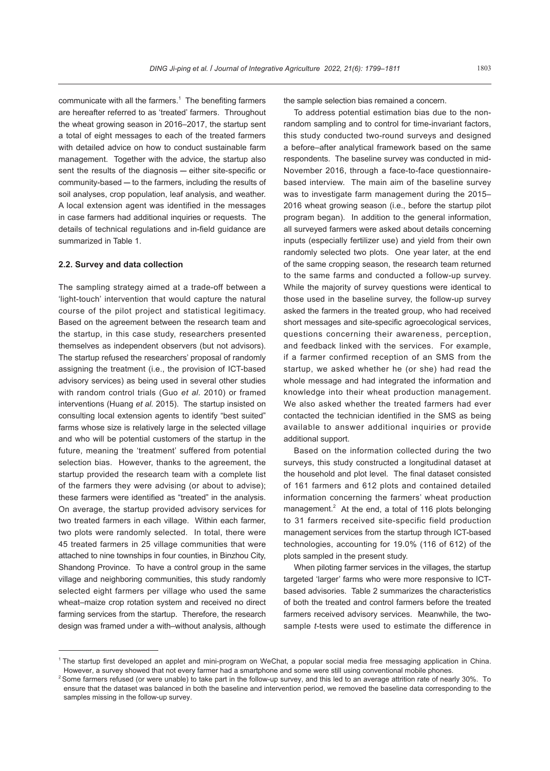communicate with all the farmers. $1$  The benefiting farmers are hereafter referred to as 'treated' farmers. Throughout the wheat growing season in 2016–2017, the startup sent a total of eight messages to each of the treated farmers with detailed advice on how to conduct sustainable farm management. Together with the advice, the startup also sent the results of the diagnosis - either site-specific or community-based - to the farmers, including the results of soil analyses, crop population, leaf analysis, and weather. A local extension agent was identified in the messages in case farmers had additional inquiries or requests. The details of technical regulations and in-field guidance are summarized in Table 1.

#### **2.2. Survey and data collection**

The sampling strategy aimed at a trade-off between a 'light-touch' intervention that would capture the natural course of the pilot project and statistical legitimacy. Based on the agreement between the research team and the startup, in this case study, researchers presented themselves as independent observers (but not advisors). The startup refused the researchers' proposal of randomly assigning the treatment (i.e., the provision of ICT-based advisory services) as being used in several other studies with random control trials (Guo *et al.* 2010) or framed interventions (Huang *et al.* 2015). The startup insisted on consulting local extension agents to identify "best suited" farms whose size is relatively large in the selected village and who will be potential customers of the startup in the future, meaning the 'treatment' suffered from potential selection bias. However, thanks to the agreement, the startup provided the research team with a complete list of the farmers they were advising (or about to advise); these farmers were identified as "treated" in the analysis. On average, the startup provided advisory services for two treated farmers in each village. Within each farmer, two plots were randomly selected. In total, there were 45 treated farmers in 25 village communities that were attached to nine townships in four counties, in Binzhou City, Shandong Province. To have a control group in the same village and neighboring communities, this study randomly selected eight farmers per village who used the same wheat–maize crop rotation system and received no direct farming services from the startup. Therefore, the research design was framed under a with–without analysis, although

the sample selection bias remained a concern.

To address potential estimation bias due to the nonrandom sampling and to control for time-invariant factors, this study conducted two-round surveys and designed a before–after analytical framework based on the same respondents. The baseline survey was conducted in mid-November 2016, through a face-to-face questionnairebased interview. The main aim of the baseline survey was to investigate farm management during the 2015– 2016 wheat growing season (i.e., before the startup pilot program began). In addition to the general information, all surveyed farmers were asked about details concerning inputs (especially fertilizer use) and yield from their own randomly selected two plots. One year later, at the end of the same cropping season, the research team returned to the same farms and conducted a follow-up survey. While the majority of survey questions were identical to those used in the baseline survey, the follow-up survey asked the farmers in the treated group, who had received short messages and site-specific agroecological services, questions concerning their awareness, perception, and feedback linked with the services. For example, if a farmer confirmed reception of an SMS from the startup, we asked whether he (or she) had read the whole message and had integrated the information and knowledge into their wheat production management. We also asked whether the treated farmers had ever contacted the technician identified in the SMS as being available to answer additional inquiries or provide additional support.

Based on the information collected during the two surveys, this study constructed a longitudinal dataset at the household and plot level. The final dataset consisted of 161 farmers and 612 plots and contained detailed information concerning the farmers' wheat production management. $2$  At the end, a total of 116 plots belonging to 31 farmers received site-specific field production management services from the startup through ICT-based technologies, accounting for 19.0% (116 of 612) of the plots sampled in the present study.

When piloting farmer services in the villages, the startup targeted 'larger' farms who were more responsive to ICTbased advisories. Table 2 summarizes the characteristics of both the treated and control farmers before the treated farmers received advisory services. Meanwhile, the twosample *t*-tests were used to estimate the difference in

<sup>&</sup>lt;sup>1</sup> The startup first developed an applet and mini-program on WeChat, a popular social media free messaging application in China. However, a survey showed that not every farmer had a smartphone and some were still using conventional mobile phones.

 $2$  Some farmers refused (or were unable) to take part in the follow-up survey, and this led to an average attrition rate of nearly 30%. To ensure that the dataset was balanced in both the baseline and intervention period, we removed the baseline data corresponding to the samples missing in the follow-up survey.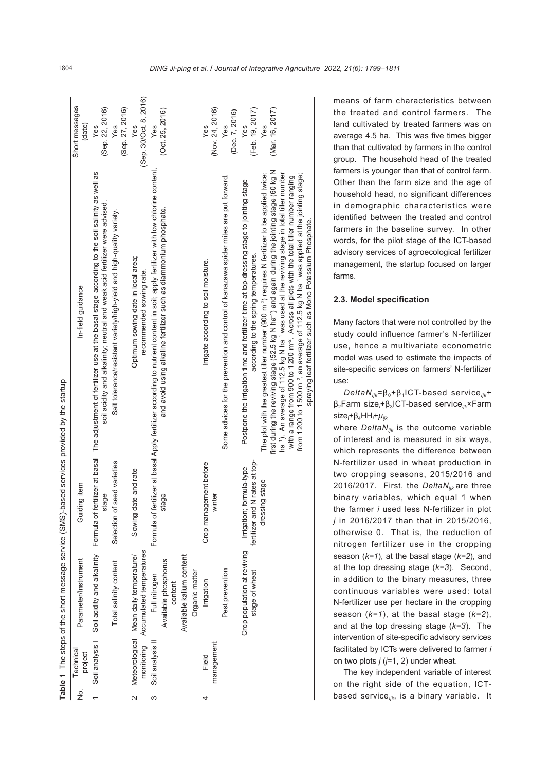|               |                      | Table 1 The steps of the short message service (SMS)-based         |                                                                     | services provided by the startup                                                                                                                                                                                                                                                                                                                                                                                                                                                                                                              |                               |
|---------------|----------------------|--------------------------------------------------------------------|---------------------------------------------------------------------|-----------------------------------------------------------------------------------------------------------------------------------------------------------------------------------------------------------------------------------------------------------------------------------------------------------------------------------------------------------------------------------------------------------------------------------------------------------------------------------------------------------------------------------------------|-------------------------------|
| $\frac{1}{2}$ | Technical<br>project | Parameter/Instrument                                               | Guiding item                                                        | In-field guidance                                                                                                                                                                                                                                                                                                                                                                                                                                                                                                                             | Short messages<br>(date)      |
|               | Soil analysis        |                                                                    | Soil acidity and alkalinity Formula of fertilizer at basal<br>stage | The adjustment of fertilizer use at the basal stage according to the soil salinity as well as<br>soil acidity and alkalinity; neutral and weak acid fertilizer were advised.                                                                                                                                                                                                                                                                                                                                                                  | (Sep. 22, 2016)<br>Yes        |
|               |                      | Total salinity content                                             | Selection of seed varieties                                         | Salt tolerance/resistant variety/high-yield and high-quality variety.                                                                                                                                                                                                                                                                                                                                                                                                                                                                         | (Sep. 27, 2016)<br>Yes        |
|               | monitoring           | Accumulated temperatures<br>Meteorological Mean daily temperature/ | Sowing date and rate                                                | Optimum sowing date in local area;<br>recommended sowing rate.                                                                                                                                                                                                                                                                                                                                                                                                                                                                                | (Sep. 30/Oct. 8, 2016)<br>Yes |
| ო             | Soil analysis II     | Available phosphorus<br>Full nitrogen<br>content                   | stage                                                               | Formula of fertilizer at basal Apply fertilizer according to nutrient content in soil; apply fertilizer with low chlorine content,<br>and avoid using alkaline fertilizer such as diammonium phosphate.                                                                                                                                                                                                                                                                                                                                       | (Oct. 25, 2016)<br>Yes        |
|               |                      | Available kalium content<br>Organic matter                         |                                                                     |                                                                                                                                                                                                                                                                                                                                                                                                                                                                                                                                               |                               |
|               | management<br>Field  | Irrigation                                                         | Crop management before<br>winter                                    | Irrigate according to soil moisture.                                                                                                                                                                                                                                                                                                                                                                                                                                                                                                          | (Nov. 24, 2016)<br>Yes        |
|               |                      | Pest prevention                                                    |                                                                     | Some advices for the prevention and control of kanazawa spider mites are put forward.                                                                                                                                                                                                                                                                                                                                                                                                                                                         | (Dec. 7, 2016)<br>Yes         |
|               |                      | Crop population at reviving<br>stage of wheat                      | fertilizer and N rates at top-<br>Irrigation; formula-type          | Postpone the irrigation time and fertilizer time at top-dressing stage to jointing stage<br>according to the spring temperatures.                                                                                                                                                                                                                                                                                                                                                                                                             | (Feb. 19, 2017)<br>Yes        |
|               |                      |                                                                    | dressing stage                                                      | first during the reviving stage (52.5 kg N ha <sup>-r</sup> ) and again during the jointing stage (60 kg N<br>har'). An average of 112.5 kg N har' was used at the reviving stage in total tiller number<br>The plot with the greatest tiller number (900 m $^{-2}$ ) requires N fertilizer to be applied twice:<br>from 1200 to 1500 m <sup>-2</sup> , an average of 112.5 kg N ha <sup>-1</sup> was applied at the jointing stage;<br>with a range from 900 to 1200 m <sup>-2</sup> . Across all plots with the total tiller number ranging | (Mar. 16, 2017)<br>Yes        |
|               |                      |                                                                    |                                                                     | spraying leaf fertilizer such as Mono Potassium Phosphate.                                                                                                                                                                                                                                                                                                                                                                                                                                                                                    |                               |

means of farm characteristics between the treated and control farmers. The land cultivated by treated farmers was on average 4.5 ha. This was five times bigger than that cultivated by farmers in the control group. The household head of the treated farmers is younger than that of control farm. Other than the farm size and the age of household head, no significant differences in demographic characteristics were identified between the treated and control farmers in the baseline survey. In other words, for the pilot stage of the ICT-based advisory services of agroecological fertilizer management, the startup focused on larger farms.

#### **2.3. Model specification**

Many factors that were not controlled by the study could influence farmer's N-fertilizer use, hence a multivariate econometric model was used to estimate the impacts of site-specific services on farmers' N-fertilizer use:

*DeltaNijk*=β0+β1ICT-based service*ijk*+ β2Farm size*<sup>i</sup>* +β3ICT-based service*ijk*×Farm size<sub>i</sub>+β<sub>4</sub>HH<sub>i</sub>+μ<sub>ijk</sub>

where *DeltaNijk* is the outcome variable of interest and is measured in six ways, which represents the difference between N-fertilizer used in wheat production in two cropping seasons, 2015/2016 and 2016/2017. First, the *DeltaNijk* are three binary variables, which equal 1 when the farmer *i* used less N-fertilizer in plot *j* in 2016/2017 than that in 2015/2016, otherwise 0. That is, the reduction of nitrogen fertilizer use in the cropping season (*k=1*), at the basal stage (*k=2*), and at the top dressing stage (*k=3*). Second, in addition to the binary measures, three continuous variables were used: total N-fertilizer use per hectare in the cropping season (*k=1*), at the basal stage (*k=2*), and at the top dressing stage (*k=3*). The intervention of site-specific advisory services facilitated by ICTs were delivered to farmer *i* on two plots *j* (*j*=1, 2) under wheat.

The key independent variable of interest on the right side of the equation, ICTbased service*ijk*, is a binary variable. It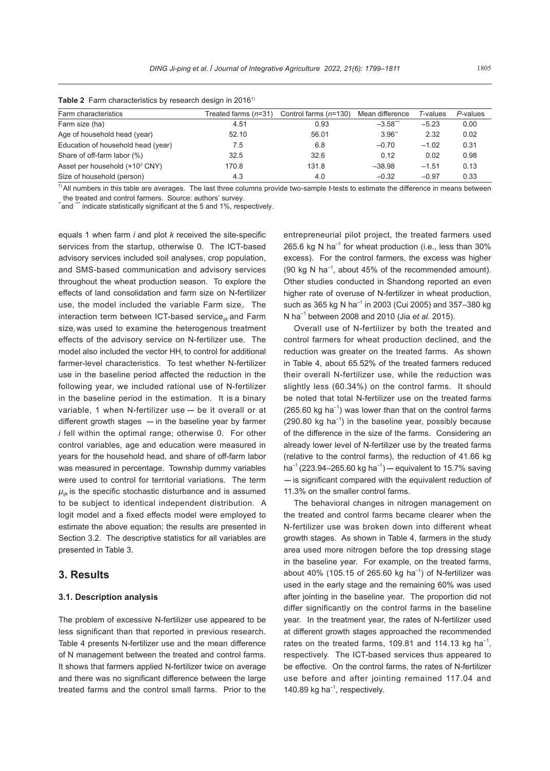| <b>Table 2</b> Farm characteristics by research design in 2016 <sup>1)</sup> |                        |                         |                        |             |          |  |  |  |  |
|------------------------------------------------------------------------------|------------------------|-------------------------|------------------------|-------------|----------|--|--|--|--|
| Farm characteristics                                                         | Treated farms $(n=31)$ | Control farms $(n=130)$ | Mean difference        | $T$ -values | P-values |  |  |  |  |
| Farm size (ha)                                                               | 4.51                   | 0.93                    | $-3.58$ <sup>***</sup> | $-5.23$     | 0.00     |  |  |  |  |
| Age of household head (year)                                                 | 52.10                  | 56.01                   | 3.96"                  | 2.32        | 0.02     |  |  |  |  |
| Education of household head (year)                                           | 7.5                    | 6.8                     | $-0.70$                | $-1.02$     | 0.31     |  |  |  |  |
| Share of off-farm labor (%)                                                  | 32.5                   | 32.6                    | 0.12                   | 0.02        | 0.98     |  |  |  |  |
| Asset per household (×10 <sup>3</sup> CNY)                                   | 170.8                  | 131.8                   | $-38.98$               | $-1.51$     | 0.13     |  |  |  |  |
| Size of household (person)                                                   | 4.3                    | 4.0                     | $-0.32$                | $-0.97$     | 0.33     |  |  |  |  |

1) All numbers in this table are averages. The last three columns provide two-sample *t*-tests to estimate the difference in means between

the treated and control farmers. Source: authors' survey.<br>"and "" indicate statistically significant at the 5 and 1%, respectively.

equals 1 when farm *i* and plot *k* received the site-specific services from the startup, otherwise 0. The ICT-based advisory services included soil analyses, crop population, and SMS-based communication and advisory services throughout the wheat production season. To explore the effects of land consolidation and farm size on N-fertilizer use, the model included the variable Farm size*<sup>i</sup>* . The interaction term between ICT-based service*ijk* and Farm size*<sup>i</sup>* was used to examine the heterogenous treatment effects of the advisory service on N-fertilizer use. The model also included the vector HH*<sup>i</sup>* to control for additional farmer-level characteristics. To test whether N-fertilizer use in the baseline period affected the reduction in the following year, we included rational use of N-fertilizer in the baseline period in the estimation. It is a binary variable, 1 when N-fertilizer use  $-$  be it overall or at different growth stages  $-$  in the baseline year by farmer *i* fell within the optimal range; otherwise 0. For other control variables, age and education were measured in years for the household head, and share of off-farm labor was measured in percentage. Township dummy variables were used to control for territorial variations. The term  $\mu_{ijk}$  is the specific stochastic disturbance and is assumed to be subject to identical independent distribution. A logit model and a fixed effects model were employed to estimate the above equation; the results are presented in Section 3.2. The descriptive statistics for all variables are presented in Table 3.

## **3. Results**

#### **3.1. Description analysis**

The problem of excessive N-fertilizer use appeared to be less significant than that reported in previous research. Table 4 presents N-fertilizer use and the mean difference of N management between the treated and control farms. It shows that farmers applied N-fertilizer twice on average and there was no significant difference between the large treated farms and the control small farms. Prior to the entrepreneurial pilot project, the treated farmers used 265.6 kg N ha<sup>-1</sup> for wheat production (i.e., less than  $30\%$ excess). For the control farmers, the excess was higher (90 kg N ha<sup>-1</sup>, about 45% of the recommended amount). Other studies conducted in Shandong reported an even higher rate of overuse of N-fertilizer in wheat production, such as 365 kg N ha<sup>-1</sup> in 2003 (Cui 2005) and 357–380 kg N ha–1 between 2008 and 2010 (Jia *et al.* 2015).

Overall use of N-fertilizer by both the treated and control farmers for wheat production declined, and the reduction was greater on the treated farms. As shown in Table 4, about 65.52% of the treated farmers reduced their overall N-fertilizer use, while the reduction was slightly less (60.34%) on the control farms. It should be noted that total N-fertilizer use on the treated farms  $(265.60 \text{ kg ha}^{-1})$  was lower than that on the control farms  $(290.80 \text{ kg ha}^{-1})$  in the baseline year, possibly because of the difference in the size of the farms. Considering an already lower level of N-fertilizer use by the treated farms (relative to the control farms), the reduction of 41.66 kg ha<sup>-1</sup> (223.94–265.60 kg ha<sup>-1</sup>) — equivalent to 15.7% saving - is significant compared with the equivalent reduction of 11.3% on the smaller control farms.

The behavioral changes in nitrogen management on the treated and control farms became clearer when the N-fertilizer use was broken down into different wheat growth stages. As shown in Table 4, farmers in the study area used more nitrogen before the top dressing stage in the baseline year. For example, on the treated farms, about 40% (105.15 of 265.60 kg ha<sup>-1</sup>) of N-fertilizer was used in the early stage and the remaining 60% was used after jointing in the baseline year. The proportion did not differ significantly on the control farms in the baseline year. In the treatment year, the rates of N-fertilizer used at different growth stages approached the recommended rates on the treated farms, 109.81 and 114.13 kg ha<sup>-1</sup>, respectively. The ICT-based services thus appeared to be effective. On the control farms, the rates of N-fertilizer use before and after jointing remained 117.04 and 140.89 kg ha $^{-1}$ , respectively.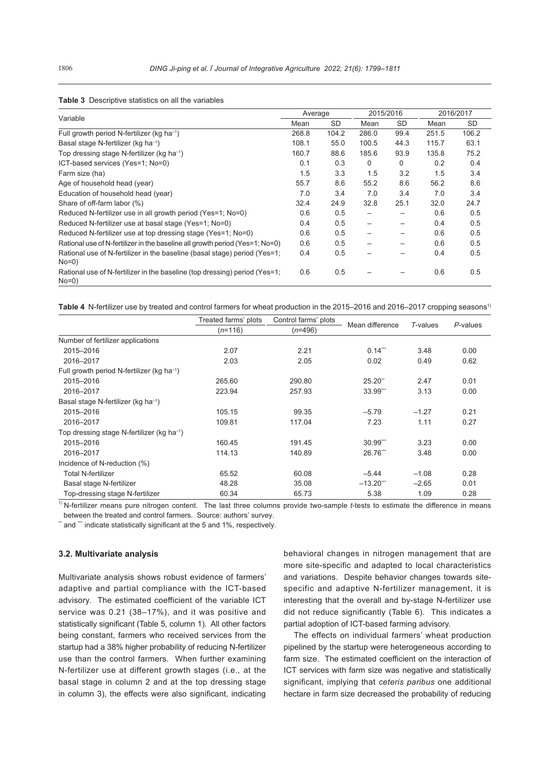| Variable                                                                            | Average |           | 2015/2016 |                 | 2016/2017 |       |  |
|-------------------------------------------------------------------------------------|---------|-----------|-----------|-----------------|-----------|-------|--|
|                                                                                     | Mean    | <b>SD</b> | Mean      | <b>SD</b>       | Mean      | SD    |  |
| Full growth period N-fertilizer (kg ha <sup>-1</sup> )                              | 268.8   | 104.2     | 286.0     | 99.4            | 251.5     | 106.2 |  |
| Basal stage N-fertilizer (kg ha <sup>-1</sup> )                                     | 108.1   | 55.0      | 100.5     | 44.3            | 115.7     | 63.1  |  |
| Top dressing stage N-fertilizer (kg ha <sup>-1</sup> )                              | 160.7   | 88.6      | 185.6     | 93.9            | 135.8     | 75.2  |  |
| ICT-based services (Yes=1; No=0)                                                    | 0.1     | 0.3       | 0         | 0               | 0.2       | 0.4   |  |
| Farm size (ha)                                                                      | 1.5     | 3.3       | 1.5       | 3.2             | 1.5       | 3.4   |  |
| Age of household head (year)                                                        | 55.7    | 8.6       | 55.2      | 8.6             | 56.2      | 8.6   |  |
| Education of household head (year)                                                  | 7.0     | 3.4       | 7.0       | 3.4             | 7.0       | 3.4   |  |
| Share of off-farm labor (%)                                                         | 32.4    | 24.9      | 32.8      | 25.1            | 32.0      | 24.7  |  |
| Reduced N-fertilizer use in all growth period (Yes=1; No=0)                         | 0.6     | 0.5       |           |                 | 0.6       | 0.5   |  |
| Reduced N-fertilizer use at basal stage (Yes=1; No=0)                               | 0.4     | 0.5       |           |                 | 0.4       | 0.5   |  |
| Reduced N-fertilizer use at top dressing stage (Yes=1; No=0)                        | 0.6     | 0.5       |           |                 | 0.6       | 0.5   |  |
| Rational use of N-fertilizer in the baseline all growth period (Yes=1; No=0)        | 0.6     | 0.5       |           | $\qquad \qquad$ | 0.6       | 0.5   |  |
| Rational use of N-fertilizer in the baseline (basal stage) period (Yes=1;<br>No=0)  | 0.4     | 0.5       |           |                 | 0.4       | 0.5   |  |
| Rational use of N-fertilizer in the baseline (top dressing) period (Yes=1;<br>No=0) | 0.6     | 0.5       |           |                 | 0.6       | 0.5   |  |

#### **Table 3** Descriptive statistics on all the variables

**Table 4** N-fertilizer use by treated and control farmers for wheat production in the 2015–2016 and 2016–2017 cropping seasons<sup>1)</sup>

|                                                        | Treated farms' plots<br>Control farms' plots |           | Mean difference | T-values | P-values |  |
|--------------------------------------------------------|----------------------------------------------|-----------|-----------------|----------|----------|--|
|                                                        | $(n=116)$                                    | $(n=496)$ |                 |          |          |  |
| Number of fertilizer applications                      |                                              |           |                 |          |          |  |
| 2015-2016                                              | 2.07                                         | 2.21      | $0.14$ ***      | 3.48     | 0.00     |  |
| 2016-2017                                              | 2.03                                         | 2.05      | 0.02            | 0.49     | 0.62     |  |
| Full growth period N-fertilizer (kg ha <sup>-1</sup> ) |                                              |           |                 |          |          |  |
| 2015-2016                                              | 265.60                                       | 290.80    | 25.20"          | 2.47     | 0.01     |  |
| 2016-2017                                              | 223.94                                       | 257.93    | 33.99'''        | 3.13     | 0.00     |  |
| Basal stage N-fertilizer (kg ha <sup>-1</sup> )        |                                              |           |                 |          |          |  |
| 2015-2016                                              | 105.15                                       | 99.35     | $-5.79$         | $-1.27$  | 0.21     |  |
| 2016-2017                                              | 109.81                                       | 117.04    | 7.23            | 1.11     | 0.27     |  |
| Top dressing stage N-fertilizer (kg ha <sup>-1</sup> ) |                                              |           |                 |          |          |  |
| 2015-2016                                              | 160.45                                       | 191.45    | 30.99'''        | 3.23     | 0.00     |  |
| 2016-2017                                              | 114.13                                       | 140.89    | 26.76***        | 3.48     | 0.00     |  |
| Incidence of N-reduction (%)                           |                                              |           |                 |          |          |  |
| <b>Total N-fertilizer</b>                              | 65.52                                        | 60.08     | $-5.44$         | $-1.08$  | 0.28     |  |
| Basal stage N-fertilizer                               | 48.28                                        | 35.08     | $-13.20$        | $-2.65$  | 0.01     |  |
| Top-dressing stage N-fertilizer                        | 60.34                                        | 65.73     | 5.38            | 1.09     | 0.28     |  |

<sup>1)</sup> N-fertilizer means pure nitrogen content. The last three columns provide two-sample *t*-tests to estimate the difference in means between the treated and control farmers. Source: authors' survey.

 $^{\text{*}}$  and  $^{\text{**}}$  indicate statistically significant at the 5 and 1%, respectively.

#### **3.2. Multivariate analysis**

Multivariate analysis shows robust evidence of farmers' adaptive and partial compliance with the ICT-based advisory. The estimated coefficient of the variable ICT service was 0.21 (38–17%), and it was positive and statistically significant (Table 5, column 1). All other factors being constant, farmers who received services from the startup had a 38% higher probability of reducing N-fertilizer use than the control farmers. When further examining N-fertilizer use at different growth stages (i.e., at the basal stage in column 2 and at the top dressing stage in column 3), the effects were also significant, indicating

behavioral changes in nitrogen management that are more site-specific and adapted to local characteristics and variations. Despite behavior changes towards sitespecific and adaptive N-fertilizer management, it is interesting that the overall and by-stage N-fertilizer use did not reduce significantly (Table 6). This indicates a partial adoption of ICT-based farming advisory.

The effects on individual farmers' wheat production pipelined by the startup were heterogeneous according to farm size. The estimated coefficient on the interaction of ICT services with farm size was negative and statistically significant, implying that *ceteris paribus* one additional hectare in farm size decreased the probability of reducing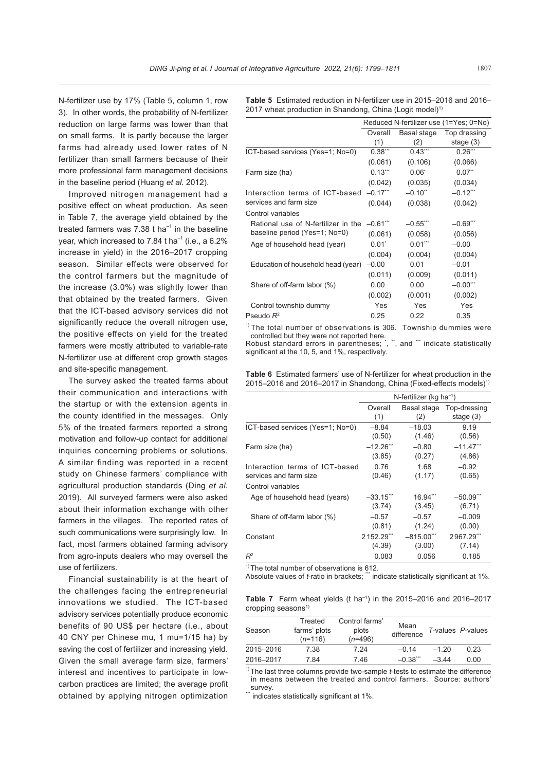N-fertilizer use by 17% (Table 5, column 1, row 3). In other words, the probability of N-fertilizer reduction on large farms was lower than that on small farms. It is partly because the larger farms had already used lower rates of N fertilizer than small farmers because of their more professional farm management decisions in the baseline period (Huang *et al.* 2012).

Improved nitrogen management had a positive effect on wheat production. As seen in Table 7, the average yield obtained by the treated farmers was 7.38 t ha<sup>-1</sup> in the baseline year, which increased to 7.84 t ha<sup> $-1$ </sup> (i.e., a 6.2%) increase in yield) in the 2016–2017 cropping season. Similar effects were observed for the control farmers but the magnitude of the increase (3.0%) was slightly lower than that obtained by the treated farmers. Given that the ICT-based advisory services did not significantly reduce the overall nitrogen use, the positive effects on yield for the treated farmers were mostly attributed to variable-rate N-fertilizer use at different crop growth stages and site-specific management.

The survey asked the treated farms about their communication and interactions with the startup or with the extension agents in the county identified in the messages. Only 5% of the treated farmers reported a strong motivation and follow-up contact for additional inquiries concerning problems or solutions. A similar finding was reported in a recent study on Chinese farmers' compliance with agricultural production standards (Ding *et al.* 2019). All surveyed farmers were also asked about their information exchange with other farmers in the villages. The reported rates of such communications were surprisingly low. In fact, most farmers obtained farming advisory from agro-inputs dealers who may oversell the use of fertilizers.

Financial sustainability is at the heart of the challenges facing the entrepreneurial innovations we studied. The ICT-based advisory services potentially produce economic benefits of 90 US\$ per hectare (i.e., about 40 CNY per Chinese mu, 1 mu=1/15 ha) by saving the cost of fertilizer and increasing yield. Given the small average farm size, farmers' interest and incentives to participate in lowcarbon practices are limited; the average profit obtained by applying nitrogen optimization

**Table 5** Estimated reduction in N-fertilizer use in 2015–2016 and 2016– 2017 wheat production in Shandong, China (Logit model)<sup>1)</sup>

|                                              |                |                       | Reduced N-fertilizer use (1=Yes; 0=No) |
|----------------------------------------------|----------------|-----------------------|----------------------------------------|
|                                              | Overall<br>(1) | Basal stage<br>(2)    | Top dressing<br>stage $(3)$            |
| ICT-based services (Yes=1; No=0)             | 0.38'''        | 0.43                  | $0.26$ ***                             |
|                                              | (0.061)        | (0.106)               | (0.066)                                |
| Farm size (ha)                               | $0.13***$      | $0.06^*$              | $0.07$ <sup>**</sup>                   |
|                                              | (0.042)        | (0.035)               | (0.034)                                |
| Interaction terms of ICT-based               | $-0.17$ "      | $-0.10$ <sup>**</sup> | $-0.12$ ***                            |
| services and farm size                       | (0.044)        | (0.038)               | (0.042)                                |
| Control variables                            |                |                       |                                        |
| Rational use of N-fertilizer in the -0.61*** |                | $-0.55$ **            | $-0.69$ ***                            |
| baseline period (Yes=1; No=0)                | (0.061)        | (0.058)               | (0.056)                                |
| Age of household head (year)                 | $0.01^*$       | $0.01***$             | $-0.00$                                |
|                                              | (0.004)        | (0.004)               | (0.004)                                |
| Education of household head (year)           | $-0.00$        | 0.01                  | $-0.01$                                |
|                                              | (0.011)        | (0.009)               | (0.011)                                |
| Share of off-farm labor (%)                  | 0.00           | 0.00                  | $-0.00$ <sup>***</sup>                 |
|                                              | (0.002)        | (0.001)               | (0.002)                                |
| Control township dummy                       | Yes            | Yes                   | Yes                                    |
| Pseudo $R^2$                                 | 0.25           | 0.22                  | 0.35                                   |

 $1$ <sup>1)</sup> The total number of observations is 306. Township dummies were

controlled but they were not reported here.<br>Robust standard errors in parentheses; ˙, ˙˙, and ˙˙˙ indicate statistically significant at the 10, 5, and 1%, respectively.

|  | <b>Table 6</b> Estimated farmers' use of N-fertilizer for wheat production in the   |  |  |
|--|-------------------------------------------------------------------------------------|--|--|
|  | $2015-2016$ and $2016-2017$ in Shandong, China (Fixed-effects models) <sup>1)</sup> |  |  |

|                                  |                         | N-fertilizer (kg ha $^{-1}$ ) |                         |  |  |  |
|----------------------------------|-------------------------|-------------------------------|-------------------------|--|--|--|
|                                  | Overall                 | Basal stage                   | Top-dressing            |  |  |  |
|                                  | (1)                     | (2)                           | stage $(3)$             |  |  |  |
| ICT-based services (Yes=1; No=0) | $-8.84$                 | $-18.03$                      | 9.19                    |  |  |  |
|                                  | (0.50)                  | (1.46)                        | (0.56)                  |  |  |  |
| Farm size (ha)                   | $-12.26$ ***            | $-0.80$                       | $-11.47$ <sup>***</sup> |  |  |  |
|                                  | (3.85)                  | (0.27)                        | (4.86)                  |  |  |  |
| Interaction terms of ICT-based   | 0.76                    | 1.68                          | $-0.92$                 |  |  |  |
| services and farm size           | (0.46)                  | (1.17)                        | (0.65)                  |  |  |  |
| Control variables                |                         |                               |                         |  |  |  |
| Age of household head (years)    | $-33.15$ <sup>***</sup> | $16.94***$                    | $-50.09$ **             |  |  |  |
|                                  | (3.74)                  | (3.45)                        | (6.71)                  |  |  |  |
| Share of off-farm labor (%)      | $-0.57$                 | $-0.57$                       | $-0.009$                |  |  |  |
|                                  | (0.81)                  | (1.24)                        | (0.00)                  |  |  |  |
| Constant                         | 2152.29'''              | $-815.00$ <sup>***</sup>      | 2967.29"                |  |  |  |
|                                  | (4.39)                  | (3.00)                        | (7.14)                  |  |  |  |
| $R^2$                            | 0.083                   | 0.056                         | 0.185                   |  |  |  |

 $<sup>1</sup>$  The total number of observations is 612.</sup>

Absolute values of *t*-ratio in brackets; "indicate statistically significant at 1%.

**Table 7** Farm wheat yields (t ha–1) in the 2015–2016 and 2016–2017 cropping seasons<sup>1)</sup>

| Season    | Treated<br>farms' plots<br>$(n=116)$ | Control farms'<br>plots<br>$(n=496)$ | Mean<br>difference |         | T-values P-values |
|-----------|--------------------------------------|--------------------------------------|--------------------|---------|-------------------|
| 2015-2016 | 7 38                                 | 7 24                                 | $-0.14$            | $-1,20$ | 0.23              |
| 2016-2017 | 784                                  | 746                                  | $-0.38$            | $-3.44$ | 0.00              |

<sup>1)</sup> The last three columns provide two-sample *t*-tests to estimate the difference in means between the treated and control farmers. Source: authors' survey

 $\dot{\ }$  indicates statistically significant at 1%.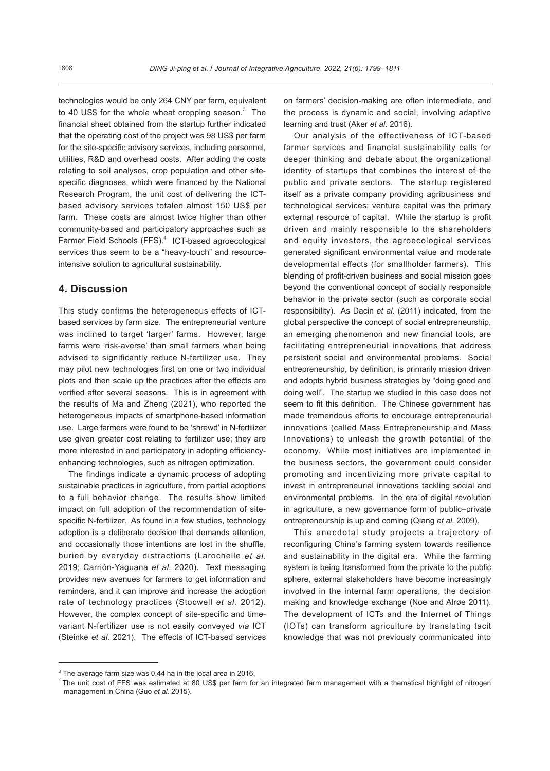technologies would be only 264 CNY per farm, equivalent to 40 US\$ for the whole wheat cropping season. $^3$  The financial sheet obtained from the startup further indicated that the operating cost of the project was 98 US\$ per farm for the site-specific advisory services, including personnel, utilities, R&D and overhead costs. After adding the costs relating to soil analyses, crop population and other sitespecific diagnoses, which were financed by the National Research Program, the unit cost of delivering the ICTbased advisory services totaled almost 150 US\$ per farm. These costs are almost twice higher than other community-based and participatory approaches such as Farmer Field Schools (FFS).<sup>4</sup> ICT-based agroecological services thus seem to be a "heavy-touch" and resourceintensive solution to agricultural sustainability.

## **4. Discussion**

This study confirms the heterogeneous effects of ICTbased services by farm size. The entrepreneurial venture was inclined to target 'larger' farms. However, large farms were 'risk-averse' than small farmers when being advised to significantly reduce N-fertilizer use. They may pilot new technologies first on one or two individual plots and then scale up the practices after the effects are verified after several seasons. This is in agreement with the results of Ma and Zheng (2021), who reported the heterogeneous impacts of smartphone-based information use. Large farmers were found to be 'shrewd' in N-fertilizer use given greater cost relating to fertilizer use; they are more interested in and participatory in adopting efficiencyenhancing technologies, such as nitrogen optimization.

The findings indicate a dynamic process of adopting sustainable practices in agriculture, from partial adoptions to a full behavior change. The results show limited impact on full adoption of the recommendation of sitespecific N-fertilizer. As found in a few studies, technology adoption is a deliberate decision that demands attention, and occasionally those intentions are lost in the shuffle, buried by everyday distractions (Larochelle *et al.* 2019; Carrión-Yaguana *et al.* 2020). Text messaging provides new avenues for farmers to get information and reminders, and it can improve and increase the adoption rate of technology practices (Stocwell *et al.* 2012). However, the complex concept of site-specific and timevariant N-fertilizer use is not easily conveyed *via* ICT (Steinke *et al.* 2021). The effects of ICT-based services

on farmers' decision-making are often intermediate, and the process is dynamic and social, involving adaptive learning and trust (Aker *et al.* 2016).

Our analysis of the effectiveness of ICT-based farmer services and financial sustainability calls for deeper thinking and debate about the organizational identity of startups that combines the interest of the public and private sectors. The startup registered itself as a private company providing agribusiness and technological services; venture capital was the primary external resource of capital. While the startup is profit driven and mainly responsible to the shareholders and equity investors, the agroecological services generated significant environmental value and moderate developmental effects (for smallholder farmers). This blending of profit-driven business and social mission goes beyond the conventional concept of socially responsible behavior in the private sector (such as corporate social responsibility). As Dacin *et al.* (2011) indicated, from the global perspective the concept of social entrepreneurship, an emerging phenomenon and new financial tools, are facilitating entrepreneurial innovations that address persistent social and environmental problems. Social entrepreneurship, by definition, is primarily mission driven and adopts hybrid business strategies by "doing good and doing well". The startup we studied in this case does not seem to fit this definition. The Chinese government has made tremendous efforts to encourage entrepreneurial innovations (called Mass Entrepreneurship and Mass Innovations) to unleash the growth potential of the economy. While most initiatives are implemented in the business sectors, the government could consider promoting and incentivizing more private capital to invest in entrepreneurial innovations tackling social and environmental problems. In the era of digital revolution in agriculture, a new governance form of public–private entrepreneurship is up and coming (Qiang *et al.* 2009).

This anecdotal study projects a trajectory of reconfiguring China's farming system towards resilience and sustainability in the digital era. While the farming system is being transformed from the private to the public sphere, external stakeholders have become increasingly involved in the internal farm operations, the decision making and knowledge exchange (Noe and Alrøe 2011). The development of ICTs and the Internet of Things (IOTs) can transform agriculture by translating tacit knowledge that was not previously communicated into

 $^3$  The average farm size was 0.44 ha in the local area in 2016.

<sup>4</sup> The unit cost of FFS was estimated at 80 US\$ per farm for an integrated farm management with a thematical highlight of nitrogen management in China (Guo *et al.* 2015).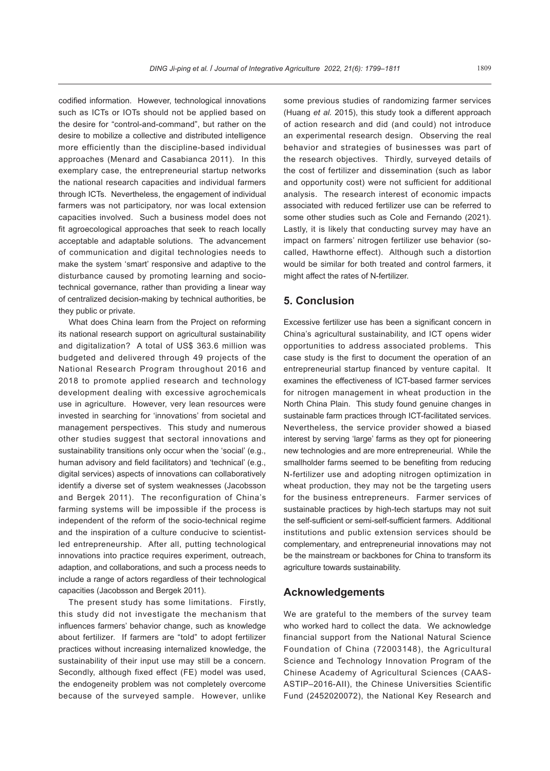codified information. However, technological innovations such as ICTs or IOTs should not be applied based on the desire for "control-and-command", but rather on the desire to mobilize a collective and distributed intelligence more efficiently than the discipline-based individual approaches (Menard and Casabianca 2011). In this exemplary case, the entrepreneurial startup networks the national research capacities and individual farmers through ICTs. Nevertheless, the engagement of individual farmers was not participatory, nor was local extension capacities involved. Such a business model does not fit agroecological approaches that seek to reach locally acceptable and adaptable solutions. The advancement of communication and digital technologies needs to make the system 'smart' responsive and adaptive to the disturbance caused by promoting learning and sociotechnical governance, rather than providing a linear way of centralized decision-making by technical authorities, be they public or private.

What does China learn from the Project on reforming its national research support on agricultural sustainability and digitalization? A total of US\$ 363.6 million was budgeted and delivered through 49 projects of the National Research Program throughout 2016 and 2018 to promote applied research and technology development dealing with excessive agrochemicals use in agriculture. However, very lean resources were invested in searching for 'innovations' from societal and management perspectives. This study and numerous other studies suggest that sectoral innovations and sustainability transitions only occur when the 'social' (e.g., human advisory and field facilitators) and 'technical' (e.g., digital services) aspects of innovations can collaboratively identify a diverse set of system weaknesses (Jacobsson and Bergek 2011). The reconfiguration of China's farming systems will be impossible if the process is independent of the reform of the socio-technical regime and the inspiration of a culture conducive to scientistled entrepreneurship. After all, putting technological innovations into practice requires experiment, outreach, adaption, and collaborations, and such a process needs to include a range of actors regardless of their technological capacities (Jacobsson and Bergek 2011).

The present study has some limitations. Firstly, this study did not investigate the mechanism that influences farmers' behavior change, such as knowledge about fertilizer. If farmers are "told" to adopt fertilizer practices without increasing internalized knowledge, the sustainability of their input use may still be a concern. Secondly, although fixed effect (FE) model was used, the endogeneity problem was not completely overcome because of the surveyed sample. However, unlike

some previous studies of randomizing farmer services (Huang *et al.* 2015), this study took a different approach of action research and did (and could) not introduce an experimental research design. Observing the real behavior and strategies of businesses was part of the research objectives. Thirdly, surveyed details of the cost of fertilizer and dissemination (such as labor and opportunity cost) were not sufficient for additional analysis. The research interest of economic impacts associated with reduced fertilizer use can be referred to some other studies such as Cole and Fernando (2021). Lastly, it is likely that conducting survey may have an impact on farmers' nitrogen fertilizer use behavior (socalled, Hawthorne effect). Although such a distortion would be similar for both treated and control farmers, it might affect the rates of N-fertilizer.

## **5. Conclusion**

Excessive fertilizer use has been a significant concern in China's agricultural sustainability, and ICT opens wider opportunities to address associated problems. This case study is the first to document the operation of an entrepreneurial startup financed by venture capital. It examines the effectiveness of ICT-based farmer services for nitrogen management in wheat production in the North China Plain. This study found genuine changes in sustainable farm practices through ICT-facilitated services. Nevertheless, the service provider showed a biased interest by serving 'large' farms as they opt for pioneering new technologies and are more entrepreneurial. While the smallholder farms seemed to be benefiting from reducing N-fertilizer use and adopting nitrogen optimization in wheat production, they may not be the targeting users for the business entrepreneurs. Farmer services of sustainable practices by high-tech startups may not suit the self-sufficient or semi-self-sufficient farmers. Additional institutions and public extension services should be complementary, and entrepreneurial innovations may not be the mainstream or backbones for China to transform its agriculture towards sustainability.

## **Acknowledgements**

We are grateful to the members of the survey team who worked hard to collect the data. We acknowledge financial support from the National Natural Science Foundation of China (72003148), the Agricultural Science and Technology Innovation Program of the Chinese Academy of Agricultural Sciences (CAAS-ASTIP–2016-AII), the Chinese Universities Scientific Fund (2452020072), the National Key Research and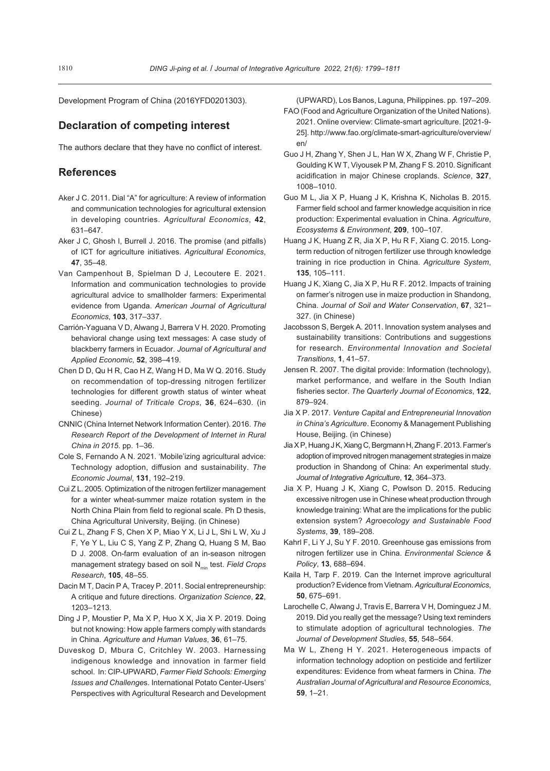Development Program of China (2016YFD0201303).

## **Declaration of competing interest**

The authors declare that they have no conflict of interest.

## **References**

- Aker J C. 2011. Dial "A" for agriculture: A review of information and communication technologies for agricultural extension in developing countries. *Agricultural Economics*, **42**, 631–647.
- Aker J C, Ghosh I, Burrell J. 2016. The promise (and pitfalls) of ICT for agriculture initiatives. *Agricultural Economics*, **47**, 35–48.
- Van Campenhout B, Spielman D J, Lecoutere E. 2021. Information and communication technologies to provide agricultural advice to smallholder farmers: Experimental evidence from Uganda. *American Journal of Agricultural Economics*, **103**, 317–337.
- Carrión-Yaguana V D, Alwang J, Barrera V H. 2020. Promoting behavioral change using text messages: A case study of blackberry farmers in Ecuador. *Journal of Agricultural and Applied Economic*, **52**, 398–419.
- Chen D D, Qu H R, Cao H Z, Wang H D, Ma W Q. 2016. Study on recommendation of top-dressing nitrogen fertilizer technologies for different growth status of winter wheat seeding. *Journal of Triticale Crops*, **36**, 624–630. (in Chinese)
- CNNIC (China Internet Network Information Center). 2016. *The Research Report of the Development of Internet in Rural China in 2015*. pp. 1–36.
- Cole S, Fernando A N. 2021. 'Mobile'izing agricultural advice: Technology adoption, diffusion and sustainability. *The Economic Journal*, **131**, 192–219.
- Cui Z L. 2005. Optimization of the nitrogen fertilizer management for a winter wheat-summer maize rotation system in the North China Plain from field to regional scale. Ph D thesis, China Agricultural University, Beijing. (in Chinese)
- Cui Z L, Zhang F S, Chen X P, Miao Y X, Li J L, Shi L W, Xu J F, Ye Y L, Liu C S, Yang Z P, Zhang Q, Huang S M, Bao D J. 2008. On-farm evaluation of an in-season nitrogen management strategy based on soil N<sub>min</sub> test. *Field Crops Research*, **105**, 48–55.
- Dacin M T, Dacin P A, Tracey P. 2011. Social entrepreneurship: A critique and future directions. *Organization Science*, **22**, 1203–1213.
- Ding J P, Moustier P, Ma X P, Huo X X, Jia X P. 2019. Doing but not knowing: How apple farmers comply with standards in China. *Agriculture and Human Values*, **36**, 61–75.
- Duveskog D, Mbura C, Critchley W. 2003. Harnessing indigenous knowledge and innovation in farmer field school. In: CIP-UPWARD, *Farmer Field Schools: Emerging Issues and Challenge*s. International Potato Center-Users' Perspectives with Agricultural Research and Development

(UPWARD), Los Banos, Laguna, Philippines. pp. 197–209.

- FAO (Food and Agriculture Organization of the United Nations). 2021. Online overview: Climate-smart agriculture. [2021-9- 25]. http://www.fao.org/climate-smart-agriculture/overview/ en/
- Guo J H, Zhang Y, Shen J L, Han W X, Zhang W F, Christie P, Goulding K W T, Viyousek P M, Zhang F S. 2010. Significant acidification in major Chinese croplands. *Science*, **327**, 1008–1010.
- Guo M L, Jia X P, Huang J K, Krishna K, Nicholas B. 2015. Farmer field school and farmer knowledge acquisition in rice production: Experimental evaluation in China. *Agriculture*, *Ecosystems & Environment*, **209**, 100–107.
- Huang J K, Huang Z R, Jia X P, Hu R F, Xiang C. 2015. Longterm reduction of nitrogen fertilizer use through knowledge training in rice production in China. *Agriculture System*, **135**, 105–111.
- Huang J K, Xiang C, Jia X P, Hu R F. 2012. Impacts of training on farmer's nitrogen use in maize production in Shandong, China. *Journal of Soil and Water Conservation*, **67**, 321– 327. (in Chinese)
- Jacobsson S, Bergek A. 2011. Innovation system analyses and sustainability transitions: Contributions and suggestions for research. *Environmental Innovation and Societal Transitions*, **1**, 41–57.
- Jensen R. 2007. The digital provide: Information (technology), market performance, and welfare in the South Indian fisheries sector. *The Quarterly Journal of Economics*, **122**, 879–924.
- Jia X P. 2017. *Venture Capital and Entrepreneurial Innovation in China's Agriculture*. Economy & Management Publishing House, Beijing. (in Chinese)
- Jia X P, Huang J K, Xiang C, Bergmann H, Zhang F. 2013. Farmer's adoption of improved nitrogen management strategies in maize production in Shandong of China: An experimental study. *Journal of Integrative Agriculture*, **12**, 364–373.
- Jia X P, Huang J K, Xiang C, Powlson D. 2015. Reducing excessive nitrogen use in Chinese wheat production through knowledge training: What are the implications for the public extension system? *Agroecology and Sustainable Food Systems*, **39**, 189–208.
- Kahrl F, Li Y J, Su Y F. 2010. Greenhouse gas emissions from nitrogen fertilizer use in China. *Environmental Science & Policy*, **13**, 688–694.
- Kaila H, Tarp F. 2019. Can the Internet improve agricultural production? Evidence from Vietnam. *AgriculturalEconomics*, **50**, 675–691.
- Larochelle C, Alwang J, Travis E, Barrera V H, Dominguez J M. 2019. Did you really get the message? Using text reminders to stimulate adoption of agricultural technologies. *The Journal of Development Studies*, **55**, 548–564.
- Ma W L, Zheng H Y. 2021. Heterogeneous impacts of information technology adoption on pesticide and fertilizer expenditures: Evidence from wheat farmers in China. *The Australian Journal of Agricultural and Resource Economics*, **59**, 1–21.